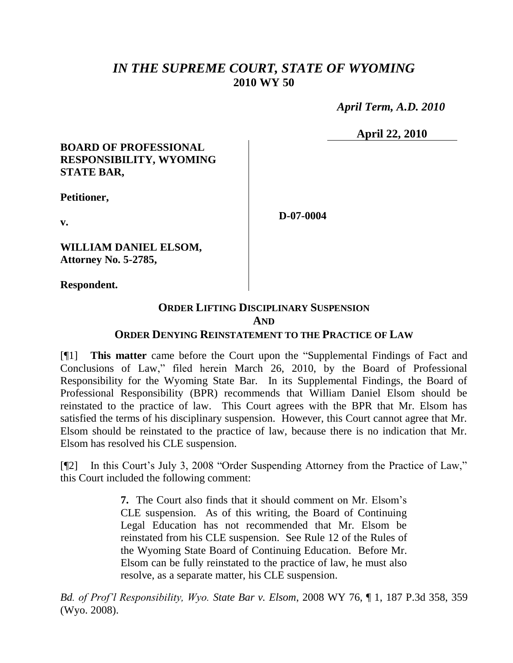# *IN THE SUPREME COURT, STATE OF WYOMING* **2010 WY 50**

 *April Term, A.D. 2010*

**April 22, 2010**

### **BOARD OF PROFESSIONAL RESPONSIBILITY, WYOMING STATE BAR,**

**Petitioner,**

**v.**

**WILLIAM DANIEL ELSOM, Attorney No. 5-2785,**

**Respondent.**

# **ORDER LIFTING DISCIPLINARY SUSPENSION AND**

**D-07-0004**

## **ORDER DENYING REINSTATEMENT TO THE PRACTICE OF LAW**

[¶1] **This matter** came before the Court upon the "Supplemental Findings of Fact and Conclusions of Law," filed herein March 26, 2010, by the Board of Professional Responsibility for the Wyoming State Bar. In its Supplemental Findings, the Board of Professional Responsibility (BPR) recommends that William Daniel Elsom should be reinstated to the practice of law. This Court agrees with the BPR that Mr. Elsom has satisfied the terms of his disciplinary suspension. However, this Court cannot agree that Mr. Elsom should be reinstated to the practice of law, because there is no indication that Mr. Elsom has resolved his CLE suspension.

[¶2] In this Court's July 3, 2008 "Order Suspending Attorney from the Practice of Law," this Court included the following comment:

> **7.** The Court also finds that it should comment on Mr. Elsom's CLE suspension. As of this writing, the Board of Continuing Legal Education has not recommended that Mr. Elsom be reinstated from his CLE suspension. See Rule 12 of the Rules of the Wyoming State Board of Continuing Education. Before Mr. Elsom can be fully reinstated to the practice of law, he must also resolve, as a separate matter, his CLE suspension.

*Bd. of Prof'l Responsibility, Wyo. State Bar v. Elsom*, 2008 WY 76, ¶ 1, 187 P.3d 358, 359 (Wyo. 2008).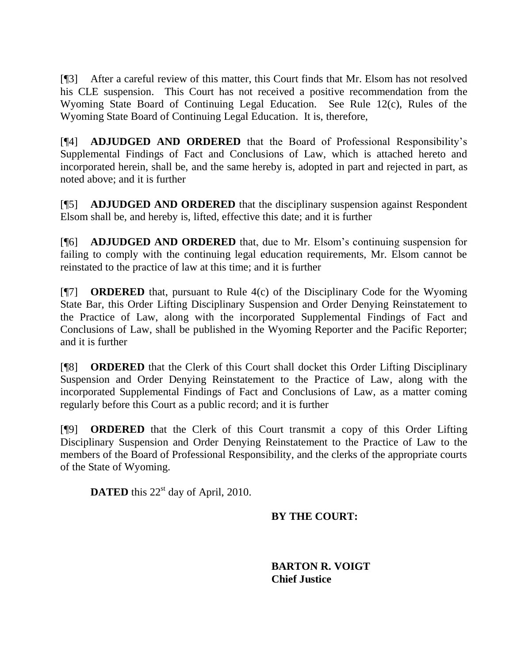[¶3] After a careful review of this matter, this Court finds that Mr. Elsom has not resolved his CLE suspension. This Court has not received a positive recommendation from the Wyoming State Board of Continuing Legal Education. See Rule 12(c), Rules of the Wyoming State Board of Continuing Legal Education. It is, therefore,

[¶4] **ADJUDGED AND ORDERED** that the Board of Professional Responsibility's Supplemental Findings of Fact and Conclusions of Law, which is attached hereto and incorporated herein, shall be, and the same hereby is, adopted in part and rejected in part, as noted above; and it is further

[¶5] **ADJUDGED AND ORDERED** that the disciplinary suspension against Respondent Elsom shall be, and hereby is, lifted, effective this date; and it is further

[¶6] **ADJUDGED AND ORDERED** that, due to Mr. Elsom's continuing suspension for failing to comply with the continuing legal education requirements, Mr. Elsom cannot be reinstated to the practice of law at this time; and it is further

[¶7] **ORDERED** that, pursuant to Rule 4(c) of the Disciplinary Code for the Wyoming State Bar, this Order Lifting Disciplinary Suspension and Order Denying Reinstatement to the Practice of Law, along with the incorporated Supplemental Findings of Fact and Conclusions of Law, shall be published in the Wyoming Reporter and the Pacific Reporter; and it is further

[¶8] **ORDERED** that the Clerk of this Court shall docket this Order Lifting Disciplinary Suspension and Order Denying Reinstatement to the Practice of Law, along with the incorporated Supplemental Findings of Fact and Conclusions of Law, as a matter coming regularly before this Court as a public record; and it is further

[¶9] **ORDERED** that the Clerk of this Court transmit a copy of this Order Lifting Disciplinary Suspension and Order Denying Reinstatement to the Practice of Law to the members of the Board of Professional Responsibility, and the clerks of the appropriate courts of the State of Wyoming.

**DATED** this 22<sup>st</sup> day of April, 2010.

# **BY THE COURT:**

**BARTON R. VOIGT Chief Justice**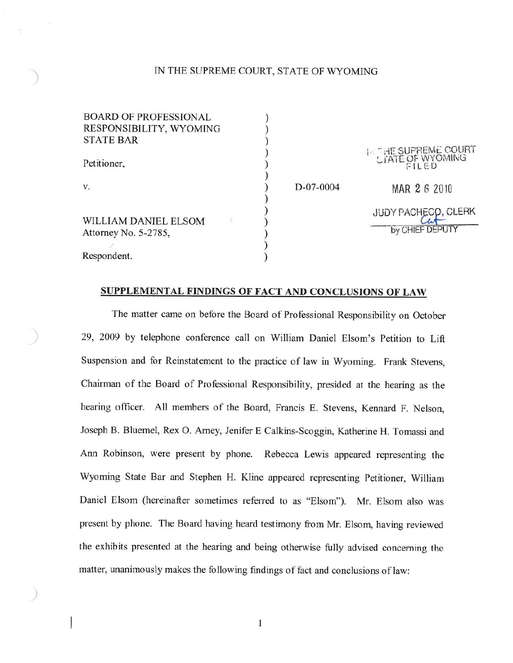### IN THE SUPREME COURT, STATE OF WYOMING

| <b>BOARD OF PROFESSIONAL</b> |  |
|------------------------------|--|
| RESPONSIBILITY, WYOMING      |  |
| <b>STATE BAR</b>             |  |
| Petitioner,                  |  |
| V.                           |  |
| WILLIAM DANIEL ELSOM         |  |
| Attorney No. 5-2785,         |  |
|                              |  |
| Respondent.                  |  |

HE SUPREME COURT<br>TATE OF WYOMING D-07-0004 MAR 2 6 2010 **JUDY PACHECO, CLERK** by CHIEF DEPUTY

#### SUPPLEMENTAL FINDINGS OF FACT AND CONCLUSIONS OF LAW

 $\mathcal{E}$ 

 $\begin{smallmatrix} \text{)} \ \text{)} \ \text{)} \ \text{)} \end{smallmatrix}$ 

The matter came on before the Board of Professional Responsibility on October 29, 2009 by telephone conference call on William Daniel Elsom's Petition to Lift Suspension and for Reinstatement to the practice of law in Wyoming. Frank Stevens, Chairman of the Board of Professional Responsibility, presided at the hearing as the hearing officer. All members of the Board, Francis E. Stevens, Kennard F. Nelson, Joseph B. Bluemel, Rex O. Arney, Jenifer E Calkins-Scoggin, Katherine H. Tomassi and Ann Robinson, were present by phone. Rebecca Lewis appeared representing the Wyoming State Bar and Stephen H. Kline appeared representing Petitioner, William Daniel Elsom (hereinafter sometimes referred to as "Elsom"). Mr. Elsom also was present by phone. The Board having heard testimony from Mr. Elsom, having reviewed the exhibits presented at the hearing and being otherwise fully advised concerning the matter, unanimously makes the following findings of fact and conclusions of law:

1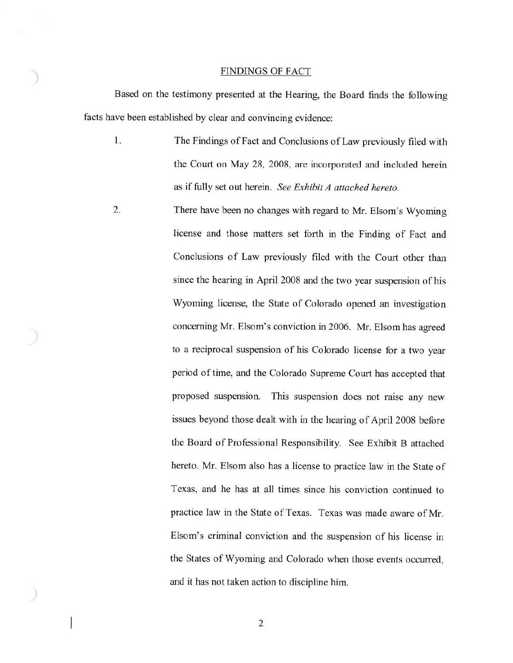#### **FINDINGS OF FACT**

Based on the testimony presented at the Hearing, the Board finds the following facts have been established by clear and convincing evidence:

2.

- $1.$ The Findings of Fact and Conclusions of Law previously filed with the Court on May 28, 2008, are incorporated and included herein as if fully set out herein. See Exhibit A attached hereto.
	- There have been no changes with regard to Mr. Elsom's Wyoming license and those matters set forth in the Finding of Fact and Conclusions of Law previously filed with the Court other than since the hearing in April 2008 and the two year suspension of his Wyoming license, the State of Colorado opened an investigation concerning Mr. Elsom's conviction in 2006. Mr. Elsom has agreed to a reciprocal suspension of his Colorado license for a two year period of time, and the Colorado Supreme Court has accepted that proposed suspension. This suspension does not raise any new issues beyond those dealt with in the hearing of April 2008 before the Board of Professional Responsibility. See Exhibit B attached hereto. Mr. Elsom also has a license to practice law in the State of Texas, and he has at all times since his conviction continued to practice law in the State of Texas. Texas was made aware of Mr. Elsom's criminal conviction and the suspension of his license in the States of Wyoming and Colorado when those events occurred, and it has not taken action to discipline him.

 $\overline{2}$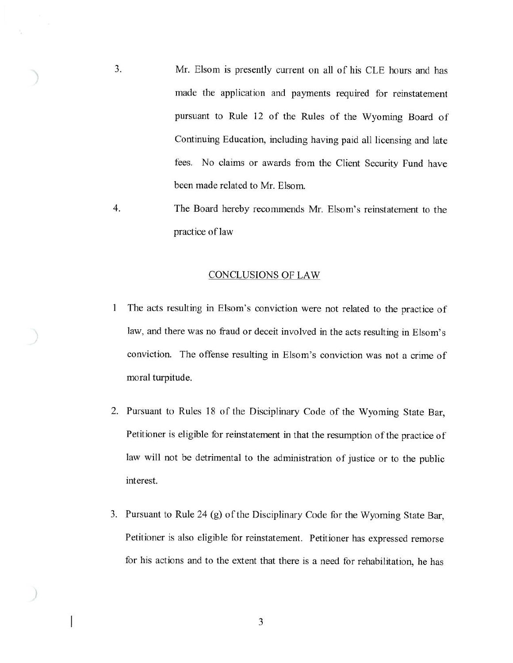- $3.$ Mr. Elsom is presently current on all of his CLE hours and has made the application and payments required for reinstatement pursuant to Rule 12 of the Rules of the Wyoming Board of Continuing Education, including having paid all licensing and late fees. No claims or awards from the Client Security Fund have been made related to Mr. Elsom.
- $4.$ The Board hereby recommends Mr. Elsom's reinstatement to the practice of law

#### **CONCLUSIONS OF LAW**

- The acts resulting in Elsom's conviction were not related to the practice of 1 law, and there was no fraud or deceit involved in the acts resulting in Elsom's conviction. The offense resulting in Elsom's conviction was not a crime of moral turpitude.
- 2. Pursuant to Rules 18 of the Disciplinary Code of the Wyoming State Bar, Petitioner is eligible for reinstatement in that the resumption of the practice of law will not be detrimental to the administration of justice or to the public interest.
- 3. Pursuant to Rule 24 (g) of the Disciplinary Code for the Wyoming State Bar, Petitioner is also eligible for reinstatement. Petitioner has expressed remorse for his actions and to the extent that there is a need for rehabilitation, he has

3

I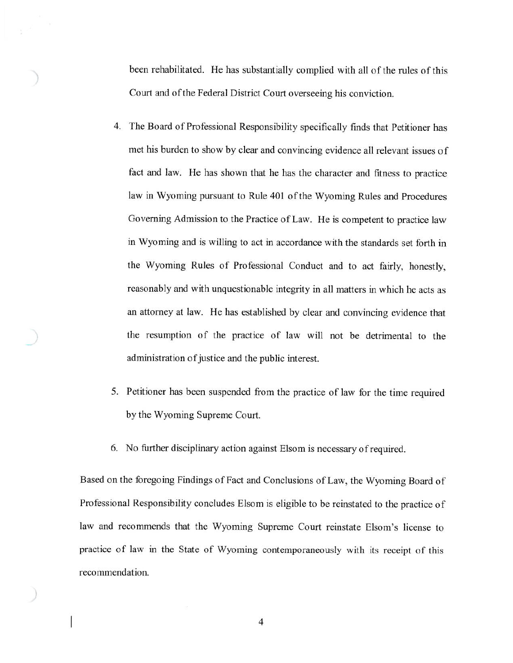been rehabilitated. He has substantially complied with all of the rules of this Court and of the Federal District Court overseeing his conviction.

- 4. The Board of Professional Responsibility specifically finds that Petitioner has met his burden to show by clear and convincing evidence all relevant issues of fact and law. He has shown that he has the character and fitness to practice law in Wyoming pursuant to Rule 401 of the Wyoming Rules and Procedures Governing Admission to the Practice of Law. He is competent to practice law in Wyoming and is willing to act in accordance with the standards set forth in the Wyoming Rules of Professional Conduct and to act fairly, honestly, reasonably and with unquestionable integrity in all matters in which he acts as an attorney at law. He has established by clear and convincing evidence that the resumption of the practice of law will not be detrimental to the administration of justice and the public interest.
- 5. Petitioner has been suspended from the practice of law for the time required by the Wyoming Supreme Court.
- 6. No further disciplinary action against Elsom is necessary of required.

Based on the foregoing Findings of Fact and Conclusions of Law, the Wyoming Board of Professional Responsibility concludes Elsom is eligible to be reinstated to the practice of law and recommends that the Wyoming Supreme Court reinstate Elsom's license to practice of law in the State of Wyoming contemporaneously with its receipt of this recommendation.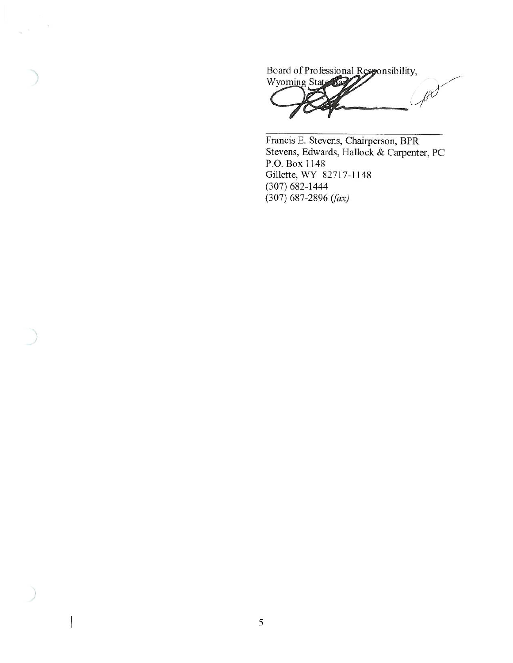Board of Professional Responsibility, Wyoming State 627  $\ell^{\chi}$ ŧ

 $\chi$  ,  $\sim$ 

 $\overline{\phantom{a}}$ 

Francis E. Stevens, Chairperson, BPR Stevens, Edwards, Hallock & Carpenter, PC P.O. Box 1148 Gillette, WY 82717-1148  $(307)$  682-1444  $(307)$  687-2896 (fax)